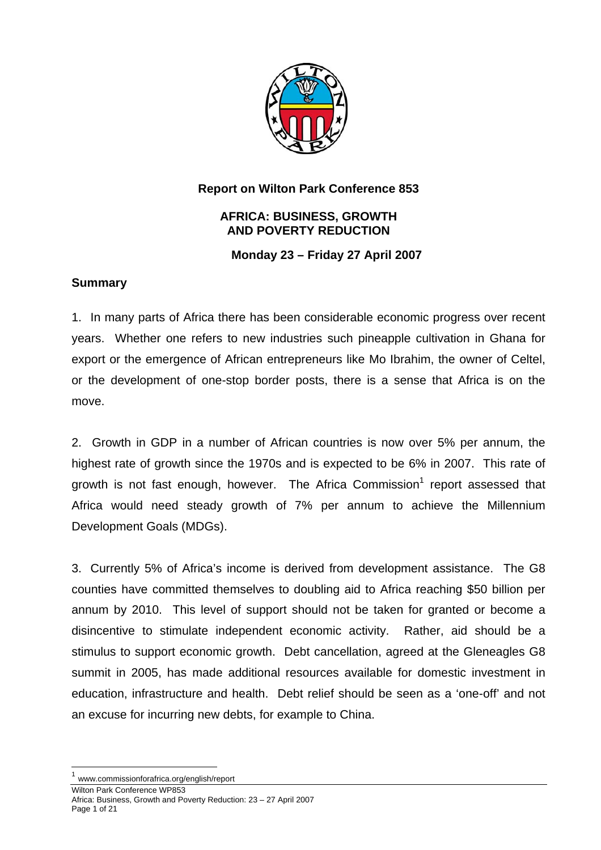

## **Report on Wilton Park Conference 853**

### **AFRICA: BUSINESS, GROWTH AND POVERTY REDUCTION**

### **Monday 23 – Friday 27 April 2007**

### **Summary**

1. In many parts of Africa there has been considerable economic progress over recent years. Whether one refers to new industries such pineapple cultivation in Ghana for export or the emergence of African entrepreneurs like Mo Ibrahim, the owner of Celtel, or the development of one-stop border posts, there is a sense that Africa is on the move.

2. Growth in GDP in a number of African countries is now over 5% per annum, the highest rate of growth since the 1970s and is expected to be 6% in 2007. This rate of growth is not fast enough, however. The Africa Commission<sup>[1](#page-0-0)</sup> report assessed that Africa would need steady growth of 7% per annum to achieve the Millennium Development Goals (MDGs).

3. Currently 5% of Africa's income is derived from development assistance. The G8 counties have committed themselves to doubling aid to Africa reaching \$50 billion per annum by 2010. This level of support should not be taken for granted or become a disincentive to stimulate independent economic activity. Rather, aid should be a stimulus to support economic growth. Debt cancellation, agreed at the Gleneagles G8 summit in 2005, has made additional resources available for domestic investment in education, infrastructure and health. Debt relief should be seen as a 'one-off' and not an excuse for incurring new debts, for example to China.

<span id="page-0-0"></span> <sup>1</sup> www.commissionforafrica.org/english/report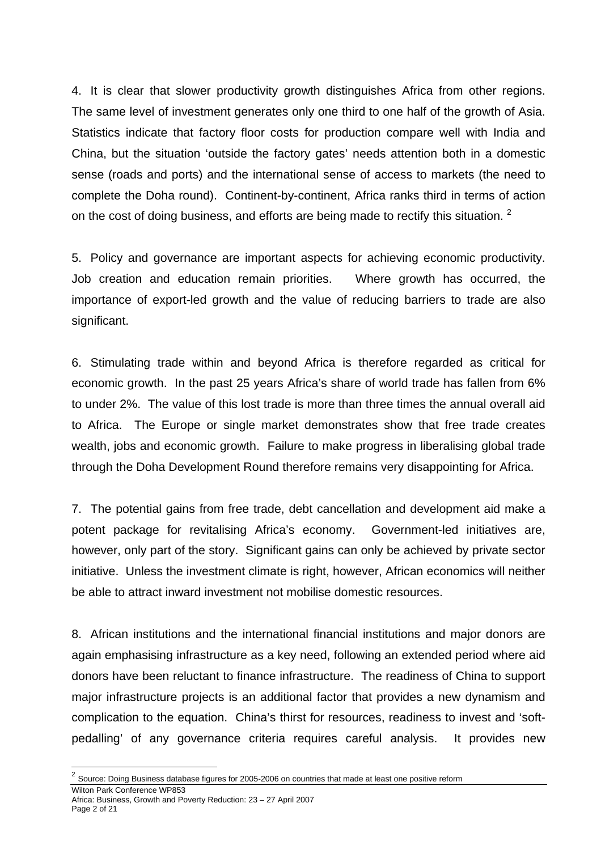4. It is clear that slower productivity growth distinguishes Africa from other regions. The same level of investment generates only one third to one half of the growth of Asia. Statistics indicate that factory floor costs for production compare well with India and China, but the situation 'outside the factory gates' needs attention both in a domestic sense (roads and ports) and the international sense of access to markets (the need to complete the Doha round). Continent-by-continent, Africa ranks third in terms of action on the cost of doing business, and efforts are being made to rectify this situation. <sup>[2](#page-1-0)</sup>

5. Policy and governance are important aspects for achieving economic productivity. Job creation and education remain priorities. Where growth has occurred, the importance of export-led growth and the value of reducing barriers to trade are also significant.

6. Stimulating trade within and beyond Africa is therefore regarded as critical for economic growth. In the past 25 years Africa's share of world trade has fallen from 6% to under 2%. The value of this lost trade is more than three times the annual overall aid to Africa. The Europe or single market demonstrates show that free trade creates wealth, jobs and economic growth. Failure to make progress in liberalising global trade through the Doha Development Round therefore remains very disappointing for Africa.

7. The potential gains from free trade, debt cancellation and development aid make a potent package for revitalising Africa's economy. Government-led initiatives are, however, only part of the story. Significant gains can only be achieved by private sector initiative. Unless the investment climate is right, however, African economics will neither be able to attract inward investment not mobilise domestic resources.

8. African institutions and the international financial institutions and major donors are again emphasising infrastructure as a key need, following an extended period where aid donors have been reluctant to finance infrastructure. The readiness of China to support major infrastructure projects is an additional factor that provides a new dynamism and complication to the equation. China's thirst for resources, readiness to invest and 'softpedalling' of any governance criteria requires careful analysis. It provides new

l

<span id="page-1-0"></span>Wilton Park Conference WP853  $^2$  Source: Doing Business database figures for 2005-2006 on countries that made at least one positive reform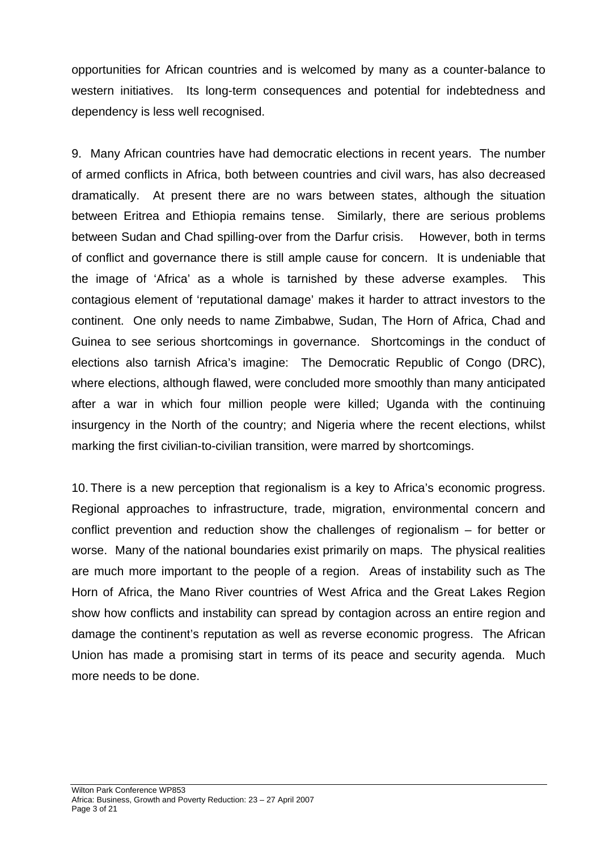opportunities for African countries and is welcomed by many as a counter-balance to western initiatives. Its long-term consequences and potential for indebtedness and dependency is less well recognised.

9. Many African countries have had democratic elections in recent years. The number of armed conflicts in Africa, both between countries and civil wars, has also decreased dramatically. At present there are no wars between states, although the situation between Eritrea and Ethiopia remains tense. Similarly, there are serious problems between Sudan and Chad spilling-over from the Darfur crisis. However, both in terms of conflict and governance there is still ample cause for concern. It is undeniable that the image of 'Africa' as a whole is tarnished by these adverse examples. This contagious element of 'reputational damage' makes it harder to attract investors to the continent. One only needs to name Zimbabwe, Sudan, The Horn of Africa, Chad and Guinea to see serious shortcomings in governance. Shortcomings in the conduct of elections also tarnish Africa's imagine: The Democratic Republic of Congo (DRC), where elections, although flawed, were concluded more smoothly than many anticipated after a war in which four million people were killed; Uganda with the continuing insurgency in the North of the country; and Nigeria where the recent elections, whilst marking the first civilian-to-civilian transition, were marred by shortcomings.

10. There is a new perception that regionalism is a key to Africa's economic progress. Regional approaches to infrastructure, trade, migration, environmental concern and conflict prevention and reduction show the challenges of regionalism – for better or worse. Many of the national boundaries exist primarily on maps. The physical realities are much more important to the people of a region. Areas of instability such as The Horn of Africa, the Mano River countries of West Africa and the Great Lakes Region show how conflicts and instability can spread by contagion across an entire region and damage the continent's reputation as well as reverse economic progress. The African Union has made a promising start in terms of its peace and security agenda. Much more needs to be done.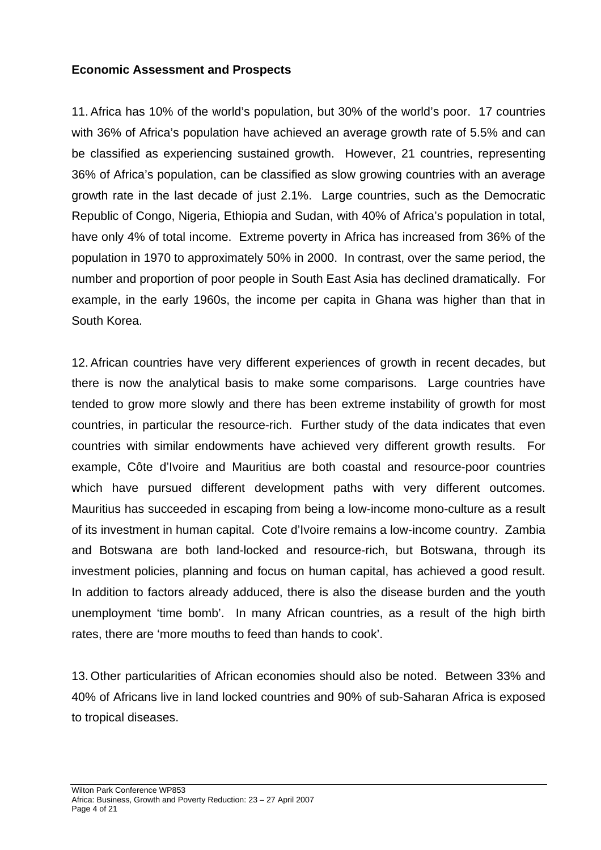### **Economic Assessment and Prospects**

11. Africa has 10% of the world's population, but 30% of the world's poor. 17 countries with 36% of Africa's population have achieved an average growth rate of 5.5% and can be classified as experiencing sustained growth. However, 21 countries, representing 36% of Africa's population, can be classified as slow growing countries with an average growth rate in the last decade of just 2.1%. Large countries, such as the Democratic Republic of Congo, Nigeria, Ethiopia and Sudan, with 40% of Africa's population in total, have only 4% of total income. Extreme poverty in Africa has increased from 36% of the population in 1970 to approximately 50% in 2000. In contrast, over the same period, the number and proportion of poor people in South East Asia has declined dramatically. For example, in the early 1960s, the income per capita in Ghana was higher than that in South Korea.

12. African countries have very different experiences of growth in recent decades, but there is now the analytical basis to make some comparisons. Large countries have tended to grow more slowly and there has been extreme instability of growth for most countries, in particular the resource-rich. Further study of the data indicates that even countries with similar endowments have achieved very different growth results. For example, Côte d'Ivoire and Mauritius are both coastal and resource-poor countries which have pursued different development paths with very different outcomes. Mauritius has succeeded in escaping from being a low-income mono-culture as a result of its investment in human capital. Cote d'Ivoire remains a low-income country. Zambia and Botswana are both land-locked and resource-rich, but Botswana, through its investment policies, planning and focus on human capital, has achieved a good result. In addition to factors already adduced, there is also the disease burden and the youth unemployment 'time bomb'. In many African countries, as a result of the high birth rates, there are 'more mouths to feed than hands to cook'.

13. Other particularities of African economies should also be noted. Between 33% and 40% of Africans live in land locked countries and 90% of sub-Saharan Africa is exposed to tropical diseases.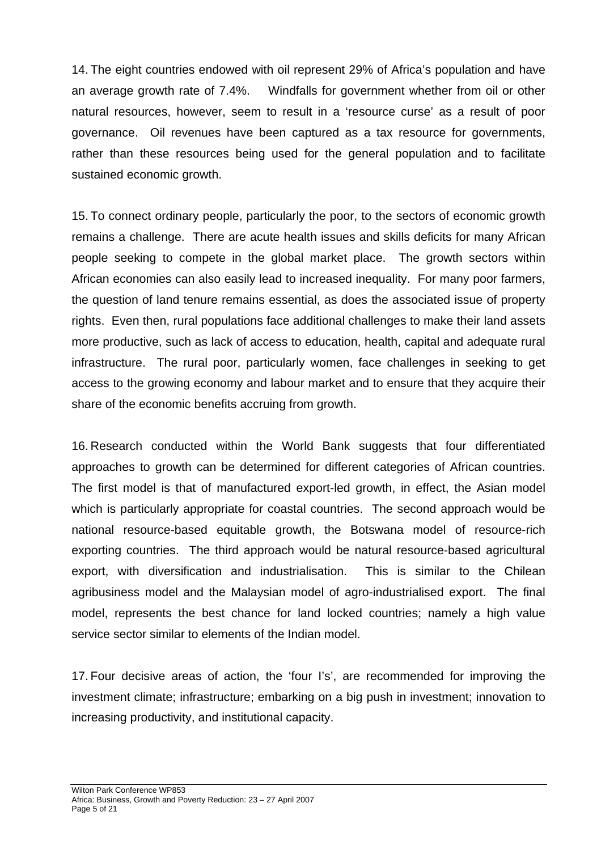14. The eight countries endowed with oil represent 29% of Africa's population and have an average growth rate of 7.4%. Windfalls for government whether from oil or other natural resources, however, seem to result in a 'resource curse' as a result of poor governance. Oil revenues have been captured as a tax resource for governments, rather than these resources being used for the general population and to facilitate sustained economic growth.

15. To connect ordinary people, particularly the poor, to the sectors of economic growth remains a challenge. There are acute health issues and skills deficits for many African people seeking to compete in the global market place. The growth sectors within African economies can also easily lead to increased inequality. For many poor farmers, the question of land tenure remains essential, as does the associated issue of property rights. Even then, rural populations face additional challenges to make their land assets more productive, such as lack of access to education, health, capital and adequate rural infrastructure. The rural poor, particularly women, face challenges in seeking to get access to the growing economy and labour market and to ensure that they acquire their share of the economic benefits accruing from growth.

16. Research conducted within the World Bank suggests that four differentiated approaches to growth can be determined for different categories of African countries. The first model is that of manufactured export-led growth, in effect, the Asian model which is particularly appropriate for coastal countries. The second approach would be national resource-based equitable growth, the Botswana model of resource-rich exporting countries. The third approach would be natural resource-based agricultural export, with diversification and industrialisation. This is similar to the Chilean agribusiness model and the Malaysian model of agro-industrialised export. The final model, represents the best chance for land locked countries; namely a high value service sector similar to elements of the Indian model.

17. Four decisive areas of action, the 'four I's', are recommended for improving the investment climate; infrastructure; embarking on a big push in investment; innovation to increasing productivity, and institutional capacity.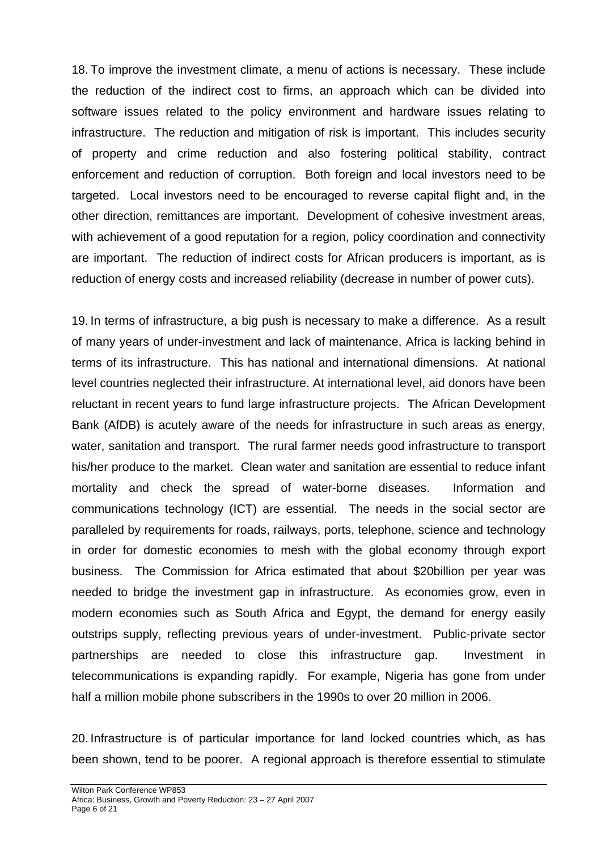18. To improve the investment climate, a menu of actions is necessary. These include the reduction of the indirect cost to firms, an approach which can be divided into software issues related to the policy environment and hardware issues relating to infrastructure. The reduction and mitigation of risk is important. This includes security of property and crime reduction and also fostering political stability, contract enforcement and reduction of corruption. Both foreign and local investors need to be targeted. Local investors need to be encouraged to reverse capital flight and, in the other direction, remittances are important. Development of cohesive investment areas, with achievement of a good reputation for a region, policy coordination and connectivity are important. The reduction of indirect costs for African producers is important, as is reduction of energy costs and increased reliability (decrease in number of power cuts).

19. In terms of infrastructure, a big push is necessary to make a difference. As a result of many years of under-investment and lack of maintenance, Africa is lacking behind in terms of its infrastructure. This has national and international dimensions. At national level countries neglected their infrastructure. At international level, aid donors have been reluctant in recent years to fund large infrastructure projects. The African Development Bank (AfDB) is acutely aware of the needs for infrastructure in such areas as energy, water, sanitation and transport. The rural farmer needs good infrastructure to transport his/her produce to the market. Clean water and sanitation are essential to reduce infant mortality and check the spread of water-borne diseases. Information and communications technology (ICT) are essential. The needs in the social sector are paralleled by requirements for roads, railways, ports, telephone, science and technology in order for domestic economies to mesh with the global economy through export business. The Commission for Africa estimated that about \$20billion per year was needed to bridge the investment gap in infrastructure. As economies grow, even in modern economies such as South Africa and Egypt, the demand for energy easily outstrips supply, reflecting previous years of under-investment. Public-private sector partnerships are needed to close this infrastructure gap. Investment in telecommunications is expanding rapidly. For example, Nigeria has gone from under half a million mobile phone subscribers in the 1990s to over 20 million in 2006.

20. Infrastructure is of particular importance for land locked countries which, as has been shown, tend to be poorer. A regional approach is therefore essential to stimulate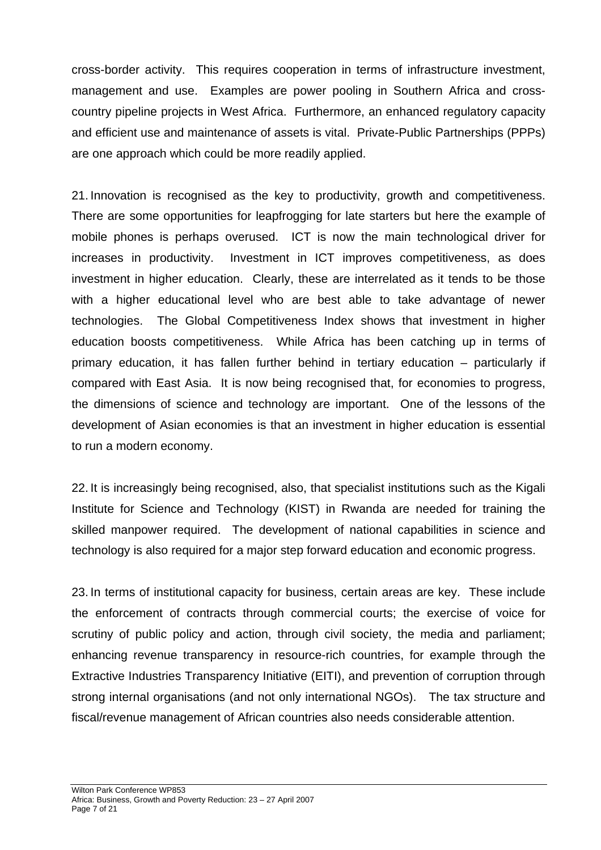cross-border activity. This requires cooperation in terms of infrastructure investment, management and use. Examples are power pooling in Southern Africa and crosscountry pipeline projects in West Africa. Furthermore, an enhanced regulatory capacity and efficient use and maintenance of assets is vital. Private-Public Partnerships (PPPs) are one approach which could be more readily applied.

21. Innovation is recognised as the key to productivity, growth and competitiveness. There are some opportunities for leapfrogging for late starters but here the example of mobile phones is perhaps overused. ICT is now the main technological driver for increases in productivity. Investment in ICT improves competitiveness, as does investment in higher education. Clearly, these are interrelated as it tends to be those with a higher educational level who are best able to take advantage of newer technologies. The Global Competitiveness Index shows that investment in higher education boosts competitiveness. While Africa has been catching up in terms of primary education, it has fallen further behind in tertiary education – particularly if compared with East Asia. It is now being recognised that, for economies to progress, the dimensions of science and technology are important. One of the lessons of the development of Asian economies is that an investment in higher education is essential to run a modern economy.

22. It is increasingly being recognised, also, that specialist institutions such as the Kigali Institute for Science and Technology (KIST) in Rwanda are needed for training the skilled manpower required. The development of national capabilities in science and technology is also required for a major step forward education and economic progress.

23. In terms of institutional capacity for business, certain areas are key. These include the enforcement of contracts through commercial courts; the exercise of voice for scrutiny of public policy and action, through civil society, the media and parliament; enhancing revenue transparency in resource-rich countries, for example through the Extractive Industries Transparency Initiative (EITI), and prevention of corruption through strong internal organisations (and not only international NGOs). The tax structure and fiscal/revenue management of African countries also needs considerable attention.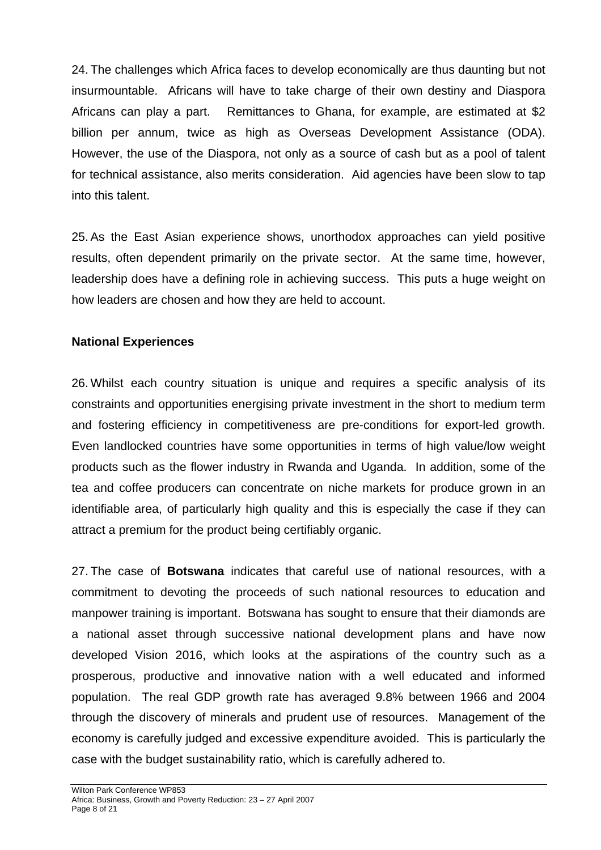24. The challenges which Africa faces to develop economically are thus daunting but not insurmountable. Africans will have to take charge of their own destiny and Diaspora Africans can play a part. Remittances to Ghana, for example, are estimated at \$2 billion per annum, twice as high as Overseas Development Assistance (ODA). However, the use of the Diaspora, not only as a source of cash but as a pool of talent for technical assistance, also merits consideration. Aid agencies have been slow to tap into this talent.

25. As the East Asian experience shows, unorthodox approaches can yield positive results, often dependent primarily on the private sector. At the same time, however, leadership does have a defining role in achieving success. This puts a huge weight on how leaders are chosen and how they are held to account.

#### **National Experiences**

26. Whilst each country situation is unique and requires a specific analysis of its constraints and opportunities energising private investment in the short to medium term and fostering efficiency in competitiveness are pre-conditions for export-led growth. Even landlocked countries have some opportunities in terms of high value/low weight products such as the flower industry in Rwanda and Uganda. In addition, some of the tea and coffee producers can concentrate on niche markets for produce grown in an identifiable area, of particularly high quality and this is especially the case if they can attract a premium for the product being certifiably organic.

27. The case of **Botswana** indicates that careful use of national resources, with a commitment to devoting the proceeds of such national resources to education and manpower training is important. Botswana has sought to ensure that their diamonds are a national asset through successive national development plans and have now developed Vision 2016, which looks at the aspirations of the country such as a prosperous, productive and innovative nation with a well educated and informed population. The real GDP growth rate has averaged 9.8% between 1966 and 2004 through the discovery of minerals and prudent use of resources. Management of the economy is carefully judged and excessive expenditure avoided. This is particularly the case with the budget sustainability ratio, which is carefully adhered to.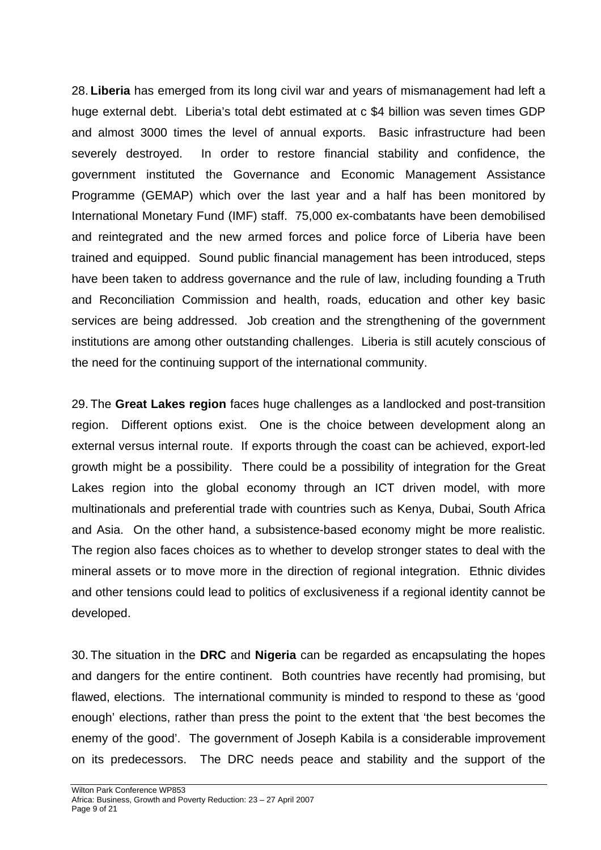28. **Liberia** has emerged from its long civil war and years of mismanagement had left a huge external debt. Liberia's total debt estimated at c \$4 billion was seven times GDP and almost 3000 times the level of annual exports. Basic infrastructure had been severely destroyed. In order to restore financial stability and confidence, the government instituted the Governance and Economic Management Assistance Programme (GEMAP) which over the last year and a half has been monitored by International Monetary Fund (IMF) staff. 75,000 ex-combatants have been demobilised and reintegrated and the new armed forces and police force of Liberia have been trained and equipped. Sound public financial management has been introduced, steps have been taken to address governance and the rule of law, including founding a Truth and Reconciliation Commission and health, roads, education and other key basic services are being addressed. Job creation and the strengthening of the government institutions are among other outstanding challenges. Liberia is still acutely conscious of the need for the continuing support of the international community.

29. The **Great Lakes region** faces huge challenges as a landlocked and post-transition region. Different options exist. One is the choice between development along an external versus internal route. If exports through the coast can be achieved, export-led growth might be a possibility. There could be a possibility of integration for the Great Lakes region into the global economy through an ICT driven model, with more multinationals and preferential trade with countries such as Kenya, Dubai, South Africa and Asia. On the other hand, a subsistence-based economy might be more realistic. The region also faces choices as to whether to develop stronger states to deal with the mineral assets or to move more in the direction of regional integration. Ethnic divides and other tensions could lead to politics of exclusiveness if a regional identity cannot be developed.

30. The situation in the **DRC** and **Nigeria** can be regarded as encapsulating the hopes and dangers for the entire continent. Both countries have recently had promising, but flawed, elections. The international community is minded to respond to these as 'good enough' elections, rather than press the point to the extent that 'the best becomes the enemy of the good'. The government of Joseph Kabila is a considerable improvement on its predecessors. The DRC needs peace and stability and the support of the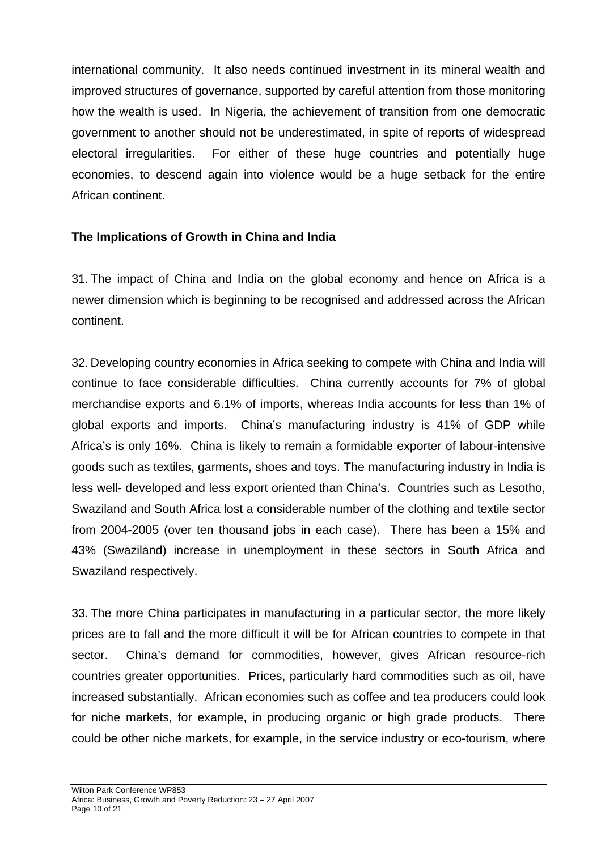international community. It also needs continued investment in its mineral wealth and improved structures of governance, supported by careful attention from those monitoring how the wealth is used. In Nigeria, the achievement of transition from one democratic government to another should not be underestimated, in spite of reports of widespread electoral irregularities. For either of these huge countries and potentially huge economies, to descend again into violence would be a huge setback for the entire African continent.

### **The Implications of Growth in China and India**

31. The impact of China and India on the global economy and hence on Africa is a newer dimension which is beginning to be recognised and addressed across the African continent.

32. Developing country economies in Africa seeking to compete with China and India will continue to face considerable difficulties. China currently accounts for 7% of global merchandise exports and 6.1% of imports, whereas India accounts for less than 1% of global exports and imports. China's manufacturing industry is 41% of GDP while Africa's is only 16%. China is likely to remain a formidable exporter of labour-intensive goods such as textiles, garments, shoes and toys. The manufacturing industry in India is less well- developed and less export oriented than China's. Countries such as Lesotho, Swaziland and South Africa lost a considerable number of the clothing and textile sector from 2004-2005 (over ten thousand jobs in each case). There has been a 15% and 43% (Swaziland) increase in unemployment in these sectors in South Africa and Swaziland respectively.

33. The more China participates in manufacturing in a particular sector, the more likely prices are to fall and the more difficult it will be for African countries to compete in that sector. China's demand for commodities, however, gives African resource-rich countries greater opportunities. Prices, particularly hard commodities such as oil, have increased substantially. African economies such as coffee and tea producers could look for niche markets, for example, in producing organic or high grade products. There could be other niche markets, for example, in the service industry or eco-tourism, where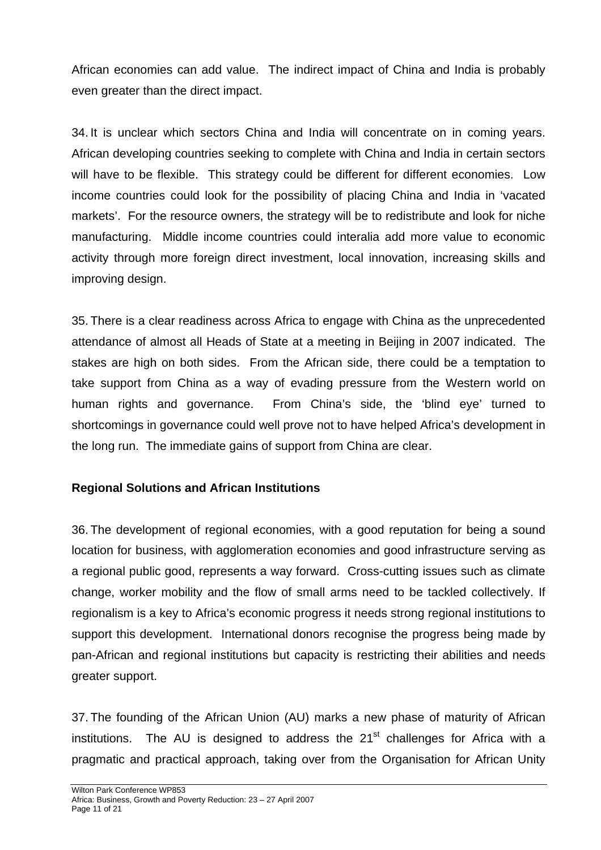African economies can add value. The indirect impact of China and India is probably even greater than the direct impact.

34. It is unclear which sectors China and India will concentrate on in coming years. African developing countries seeking to complete with China and India in certain sectors will have to be flexible. This strategy could be different for different economies. Low income countries could look for the possibility of placing China and India in 'vacated markets'. For the resource owners, the strategy will be to redistribute and look for niche manufacturing. Middle income countries could interalia add more value to economic activity through more foreign direct investment, local innovation, increasing skills and improving design.

35. There is a clear readiness across Africa to engage with China as the unprecedented attendance of almost all Heads of State at a meeting in Beijing in 2007 indicated. The stakes are high on both sides. From the African side, there could be a temptation to take support from China as a way of evading pressure from the Western world on human rights and governance. From China's side, the 'blind eye' turned to shortcomings in governance could well prove not to have helped Africa's development in the long run. The immediate gains of support from China are clear.

### **Regional Solutions and African Institutions**

36. The development of regional economies, with a good reputation for being a sound location for business, with agglomeration economies and good infrastructure serving as a regional public good, represents a way forward. Cross-cutting issues such as climate change, worker mobility and the flow of small arms need to be tackled collectively. If regionalism is a key to Africa's economic progress it needs strong regional institutions to support this development. International donors recognise the progress being made by pan-African and regional institutions but capacity is restricting their abilities and needs greater support.

37. The founding of the African Union (AU) marks a new phase of maturity of African institutions. The AU is designed to address the  $21<sup>st</sup>$  challenges for Africa with a pragmatic and practical approach, taking over from the Organisation for African Unity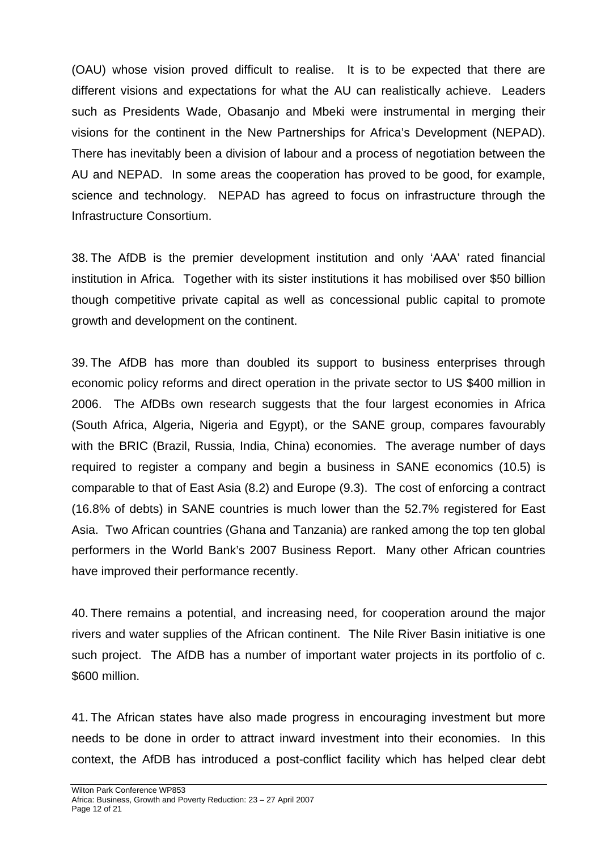(OAU) whose vision proved difficult to realise. It is to be expected that there are different visions and expectations for what the AU can realistically achieve. Leaders such as Presidents Wade, Obasanjo and Mbeki were instrumental in merging their visions for the continent in the New Partnerships for Africa's Development (NEPAD). There has inevitably been a division of labour and a process of negotiation between the AU and NEPAD. In some areas the cooperation has proved to be good, for example, science and technology. NEPAD has agreed to focus on infrastructure through the Infrastructure Consortium.

38. The AfDB is the premier development institution and only 'AAA' rated financial institution in Africa. Together with its sister institutions it has mobilised over \$50 billion though competitive private capital as well as concessional public capital to promote growth and development on the continent.

39. The AfDB has more than doubled its support to business enterprises through economic policy reforms and direct operation in the private sector to US \$400 million in 2006. The AfDBs own research suggests that the four largest economies in Africa (South Africa, Algeria, Nigeria and Egypt), or the SANE group, compares favourably with the BRIC (Brazil, Russia, India, China) economies. The average number of days required to register a company and begin a business in SANE economics (10.5) is comparable to that of East Asia (8.2) and Europe (9.3). The cost of enforcing a contract (16.8% of debts) in SANE countries is much lower than the 52.7% registered for East Asia. Two African countries (Ghana and Tanzania) are ranked among the top ten global performers in the World Bank's 2007 Business Report. Many other African countries have improved their performance recently.

40. There remains a potential, and increasing need, for cooperation around the major rivers and water supplies of the African continent. The Nile River Basin initiative is one such project. The AfDB has a number of important water projects in its portfolio of c. \$600 million.

41. The African states have also made progress in encouraging investment but more needs to be done in order to attract inward investment into their economies. In this context, the AfDB has introduced a post-conflict facility which has helped clear debt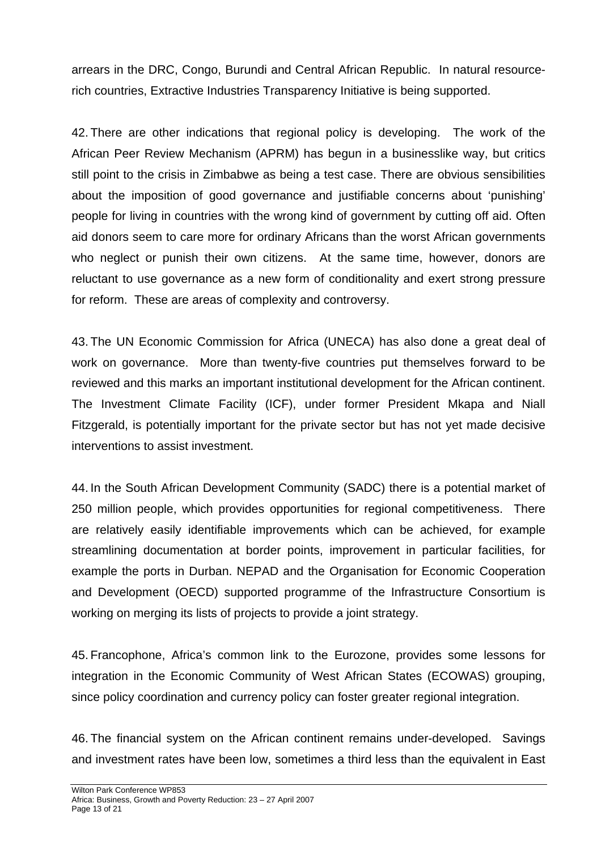arrears in the DRC, Congo, Burundi and Central African Republic. In natural resourcerich countries, Extractive Industries Transparency Initiative is being supported.

42. There are other indications that regional policy is developing. The work of the African Peer Review Mechanism (APRM) has begun in a businesslike way, but critics still point to the crisis in Zimbabwe as being a test case. There are obvious sensibilities about the imposition of good governance and justifiable concerns about 'punishing' people for living in countries with the wrong kind of government by cutting off aid. Often aid donors seem to care more for ordinary Africans than the worst African governments who neglect or punish their own citizens. At the same time, however, donors are reluctant to use governance as a new form of conditionality and exert strong pressure for reform. These are areas of complexity and controversy.

43. The UN Economic Commission for Africa (UNECA) has also done a great deal of work on governance. More than twenty-five countries put themselves forward to be reviewed and this marks an important institutional development for the African continent. The Investment Climate Facility (ICF), under former President Mkapa and Niall Fitzgerald, is potentially important for the private sector but has not yet made decisive interventions to assist investment.

44. In the South African Development Community (SADC) there is a potential market of 250 million people, which provides opportunities for regional competitiveness. There are relatively easily identifiable improvements which can be achieved, for example streamlining documentation at border points, improvement in particular facilities, for example the ports in Durban. NEPAD and the Organisation for Economic Cooperation and Development (OECD) supported programme of the Infrastructure Consortium is working on merging its lists of projects to provide a joint strategy.

45. Francophone, Africa's common link to the Eurozone, provides some lessons for integration in the Economic Community of West African States (ECOWAS) grouping, since policy coordination and currency policy can foster greater regional integration.

46. The financial system on the African continent remains under-developed. Savings and investment rates have been low, sometimes a third less than the equivalent in East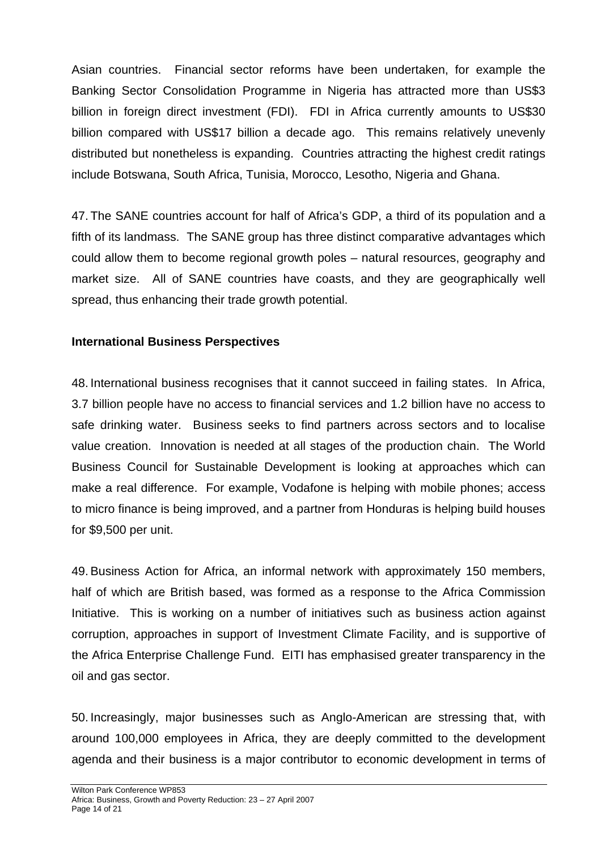Asian countries. Financial sector reforms have been undertaken, for example the Banking Sector Consolidation Programme in Nigeria has attracted more than US\$3 billion in foreign direct investment (FDI). FDI in Africa currently amounts to US\$30 billion compared with US\$17 billion a decade ago. This remains relatively unevenly distributed but nonetheless is expanding. Countries attracting the highest credit ratings include Botswana, South Africa, Tunisia, Morocco, Lesotho, Nigeria and Ghana.

47. The SANE countries account for half of Africa's GDP, a third of its population and a fifth of its landmass. The SANE group has three distinct comparative advantages which could allow them to become regional growth poles – natural resources, geography and market size. All of SANE countries have coasts, and they are geographically well spread, thus enhancing their trade growth potential.

### **International Business Perspectives**

48. International business recognises that it cannot succeed in failing states. In Africa, 3.7 billion people have no access to financial services and 1.2 billion have no access to safe drinking water. Business seeks to find partners across sectors and to localise value creation. Innovation is needed at all stages of the production chain. The World Business Council for Sustainable Development is looking at approaches which can make a real difference. For example, Vodafone is helping with mobile phones; access to micro finance is being improved, and a partner from Honduras is helping build houses for \$9,500 per unit.

49. Business Action for Africa, an informal network with approximately 150 members, half of which are British based, was formed as a response to the Africa Commission Initiative. This is working on a number of initiatives such as business action against corruption, approaches in support of Investment Climate Facility, and is supportive of the Africa Enterprise Challenge Fund. EITI has emphasised greater transparency in the oil and gas sector.

50. Increasingly, major businesses such as Anglo-American are stressing that, with around 100,000 employees in Africa, they are deeply committed to the development agenda and their business is a major contributor to economic development in terms of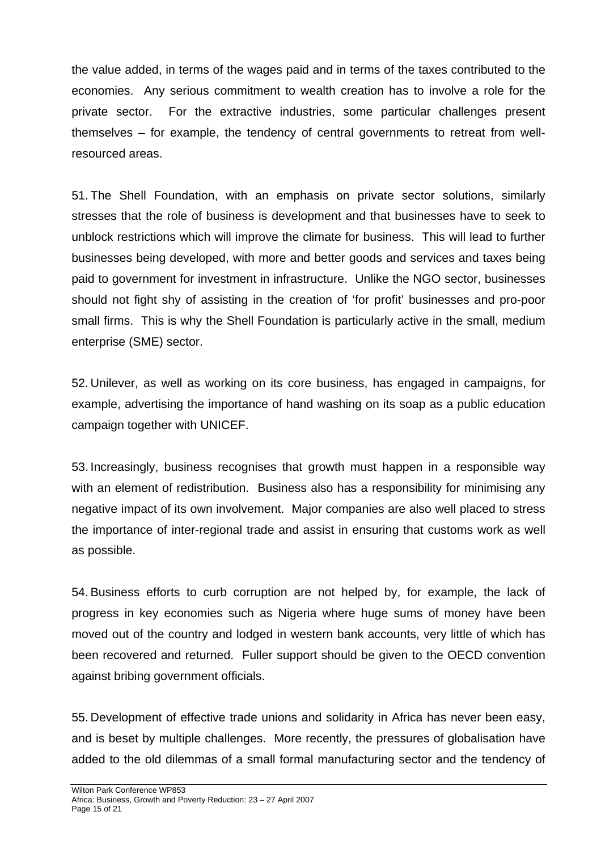the value added, in terms of the wages paid and in terms of the taxes contributed to the economies. Any serious commitment to wealth creation has to involve a role for the private sector. For the extractive industries, some particular challenges present themselves – for example, the tendency of central governments to retreat from wellresourced areas.

51. The Shell Foundation, with an emphasis on private sector solutions, similarly stresses that the role of business is development and that businesses have to seek to unblock restrictions which will improve the climate for business. This will lead to further businesses being developed, with more and better goods and services and taxes being paid to government for investment in infrastructure. Unlike the NGO sector, businesses should not fight shy of assisting in the creation of 'for profit' businesses and pro-poor small firms. This is why the Shell Foundation is particularly active in the small, medium enterprise (SME) sector.

52. Unilever, as well as working on its core business, has engaged in campaigns, for example, advertising the importance of hand washing on its soap as a public education campaign together with UNICEF.

53. Increasingly, business recognises that growth must happen in a responsible way with an element of redistribution. Business also has a responsibility for minimising any negative impact of its own involvement. Major companies are also well placed to stress the importance of inter-regional trade and assist in ensuring that customs work as well as possible.

54. Business efforts to curb corruption are not helped by, for example, the lack of progress in key economies such as Nigeria where huge sums of money have been moved out of the country and lodged in western bank accounts, very little of which has been recovered and returned. Fuller support should be given to the OECD convention against bribing government officials.

55. Development of effective trade unions and solidarity in Africa has never been easy, and is beset by multiple challenges. More recently, the pressures of globalisation have added to the old dilemmas of a small formal manufacturing sector and the tendency of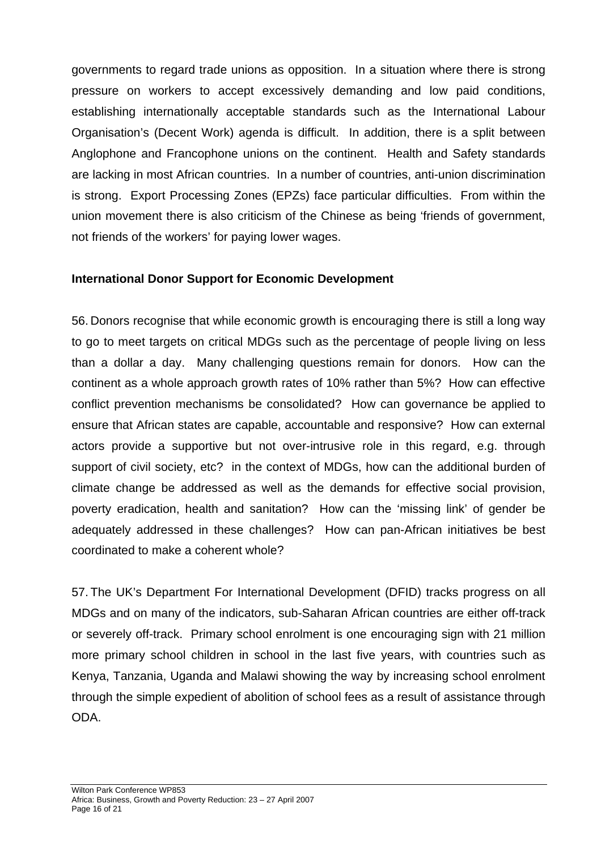governments to regard trade unions as opposition. In a situation where there is strong pressure on workers to accept excessively demanding and low paid conditions, establishing internationally acceptable standards such as the International Labour Organisation's (Decent Work) agenda is difficult. In addition, there is a split between Anglophone and Francophone unions on the continent. Health and Safety standards are lacking in most African countries. In a number of countries, anti-union discrimination is strong. Export Processing Zones (EPZs) face particular difficulties. From within the union movement there is also criticism of the Chinese as being 'friends of government, not friends of the workers' for paying lower wages.

### **International Donor Support for Economic Development**

56. Donors recognise that while economic growth is encouraging there is still a long way to go to meet targets on critical MDGs such as the percentage of people living on less than a dollar a day. Many challenging questions remain for donors. How can the continent as a whole approach growth rates of 10% rather than 5%? How can effective conflict prevention mechanisms be consolidated? How can governance be applied to ensure that African states are capable, accountable and responsive? How can external actors provide a supportive but not over-intrusive role in this regard, e.g. through support of civil society, etc? in the context of MDGs, how can the additional burden of climate change be addressed as well as the demands for effective social provision, poverty eradication, health and sanitation? How can the 'missing link' of gender be adequately addressed in these challenges? How can pan-African initiatives be best coordinated to make a coherent whole?

57. The UK's Department For International Development (DFID) tracks progress on all MDGs and on many of the indicators, sub-Saharan African countries are either off-track or severely off-track. Primary school enrolment is one encouraging sign with 21 million more primary school children in school in the last five years, with countries such as Kenya, Tanzania, Uganda and Malawi showing the way by increasing school enrolment through the simple expedient of abolition of school fees as a result of assistance through ODA.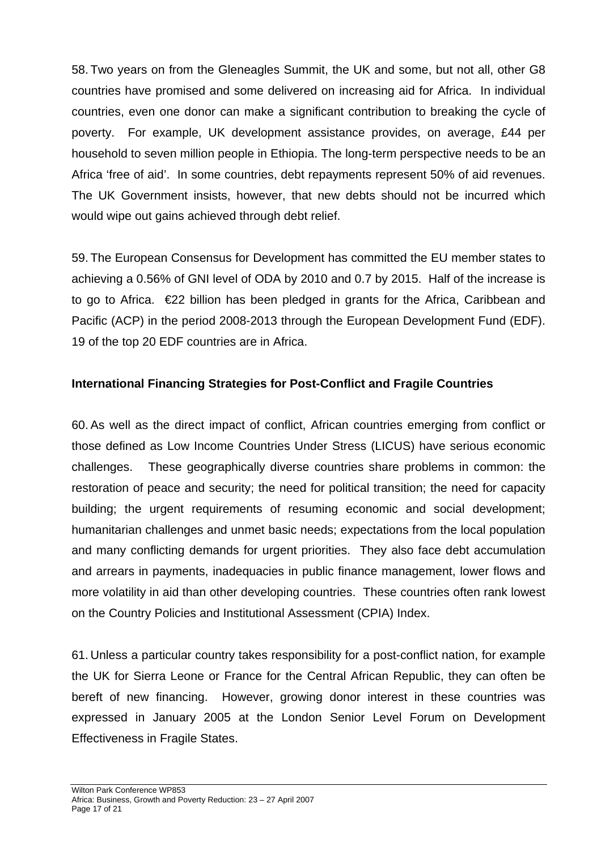58. Two years on from the Gleneagles Summit, the UK and some, but not all, other G8 countries have promised and some delivered on increasing aid for Africa. In individual countries, even one donor can make a significant contribution to breaking the cycle of poverty. For example, UK development assistance provides, on average, £44 per household to seven million people in Ethiopia. The long-term perspective needs to be an Africa 'free of aid'. In some countries, debt repayments represent 50% of aid revenues. The UK Government insists, however, that new debts should not be incurred which would wipe out gains achieved through debt relief.

59. The European Consensus for Development has committed the EU member states to achieving a 0.56% of GNI level of ODA by 2010 and 0.7 by 2015. Half of the increase is to go to Africa. €22 billion has been pledged in grants for the Africa, Caribbean and Pacific (ACP) in the period 2008-2013 through the European Development Fund (EDF). 19 of the top 20 EDF countries are in Africa.

# **International Financing Strategies for Post-Conflict and Fragile Countries**

60. As well as the direct impact of conflict, African countries emerging from conflict or those defined as Low Income Countries Under Stress (LICUS) have serious economic challenges. These geographically diverse countries share problems in common: the restoration of peace and security; the need for political transition; the need for capacity building; the urgent requirements of resuming economic and social development; humanitarian challenges and unmet basic needs; expectations from the local population and many conflicting demands for urgent priorities. They also face debt accumulation and arrears in payments, inadequacies in public finance management, lower flows and more volatility in aid than other developing countries. These countries often rank lowest on the Country Policies and Institutional Assessment (CPIA) Index.

61. Unless a particular country takes responsibility for a post-conflict nation, for example the UK for Sierra Leone or France for the Central African Republic, they can often be bereft of new financing. However, growing donor interest in these countries was expressed in January 2005 at the London Senior Level Forum on Development Effectiveness in Fragile States.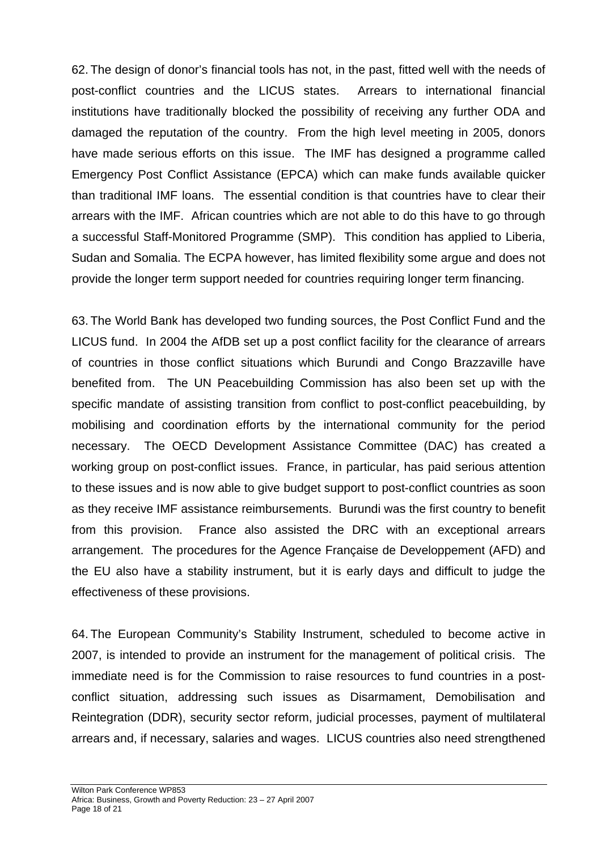62. The design of donor's financial tools has not, in the past, fitted well with the needs of post-conflict countries and the LICUS states. Arrears to international financial institutions have traditionally blocked the possibility of receiving any further ODA and damaged the reputation of the country. From the high level meeting in 2005, donors have made serious efforts on this issue. The IMF has designed a programme called Emergency Post Conflict Assistance (EPCA) which can make funds available quicker than traditional IMF loans. The essential condition is that countries have to clear their arrears with the IMF. African countries which are not able to do this have to go through a successful Staff-Monitored Programme (SMP). This condition has applied to Liberia, Sudan and Somalia. The ECPA however, has limited flexibility some argue and does not provide the longer term support needed for countries requiring longer term financing.

63. The World Bank has developed two funding sources, the Post Conflict Fund and the LICUS fund. In 2004 the AfDB set up a post conflict facility for the clearance of arrears of countries in those conflict situations which Burundi and Congo Brazzaville have benefited from. The UN Peacebuilding Commission has also been set up with the specific mandate of assisting transition from conflict to post-conflict peacebuilding, by mobilising and coordination efforts by the international community for the period necessary. The OECD Development Assistance Committee (DAC) has created a working group on post-conflict issues. France, in particular, has paid serious attention to these issues and is now able to give budget support to post-conflict countries as soon as they receive IMF assistance reimbursements. Burundi was the first country to benefit from this provision. France also assisted the DRC with an exceptional arrears arrangement. The procedures for the Agence Française de Developpement (AFD) and the EU also have a stability instrument, but it is early days and difficult to judge the effectiveness of these provisions.

64. The European Community's Stability Instrument, scheduled to become active in 2007, is intended to provide an instrument for the management of political crisis. The immediate need is for the Commission to raise resources to fund countries in a postconflict situation, addressing such issues as Disarmament, Demobilisation and Reintegration (DDR), security sector reform, judicial processes, payment of multilateral arrears and, if necessary, salaries and wages. LICUS countries also need strengthened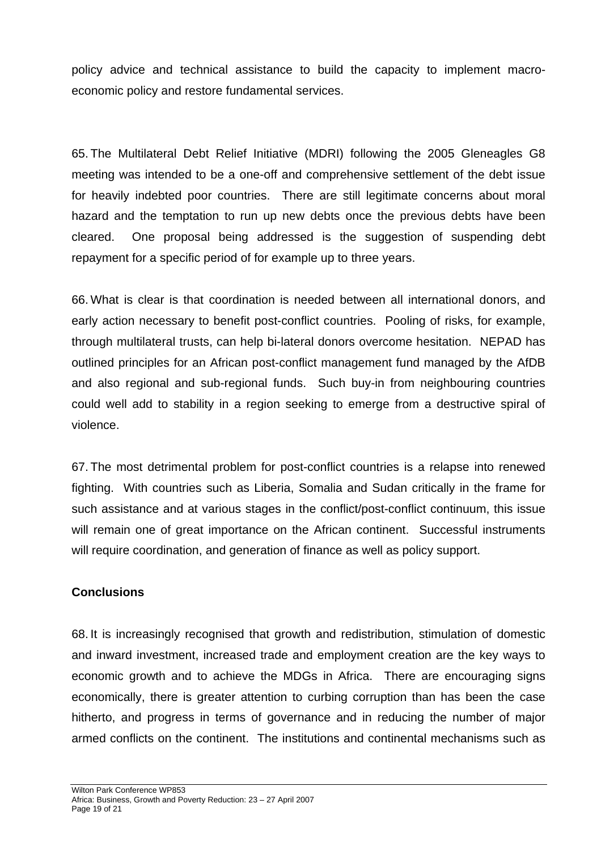policy advice and technical assistance to build the capacity to implement macroeconomic policy and restore fundamental services.

65. The Multilateral Debt Relief Initiative (MDRI) following the 2005 Gleneagles G8 meeting was intended to be a one-off and comprehensive settlement of the debt issue for heavily indebted poor countries. There are still legitimate concerns about moral hazard and the temptation to run up new debts once the previous debts have been cleared. One proposal being addressed is the suggestion of suspending debt repayment for a specific period of for example up to three years.

66. What is clear is that coordination is needed between all international donors, and early action necessary to benefit post-conflict countries. Pooling of risks, for example, through multilateral trusts, can help bi-lateral donors overcome hesitation. NEPAD has outlined principles for an African post-conflict management fund managed by the AfDB and also regional and sub-regional funds. Such buy-in from neighbouring countries could well add to stability in a region seeking to emerge from a destructive spiral of violence.

67. The most detrimental problem for post-conflict countries is a relapse into renewed fighting. With countries such as Liberia, Somalia and Sudan critically in the frame for such assistance and at various stages in the conflict/post-conflict continuum, this issue will remain one of great importance on the African continent. Successful instruments will require coordination, and generation of finance as well as policy support.

### **Conclusions**

68. It is increasingly recognised that growth and redistribution, stimulation of domestic and inward investment, increased trade and employment creation are the key ways to economic growth and to achieve the MDGs in Africa. There are encouraging signs economically, there is greater attention to curbing corruption than has been the case hitherto, and progress in terms of governance and in reducing the number of major armed conflicts on the continent. The institutions and continental mechanisms such as